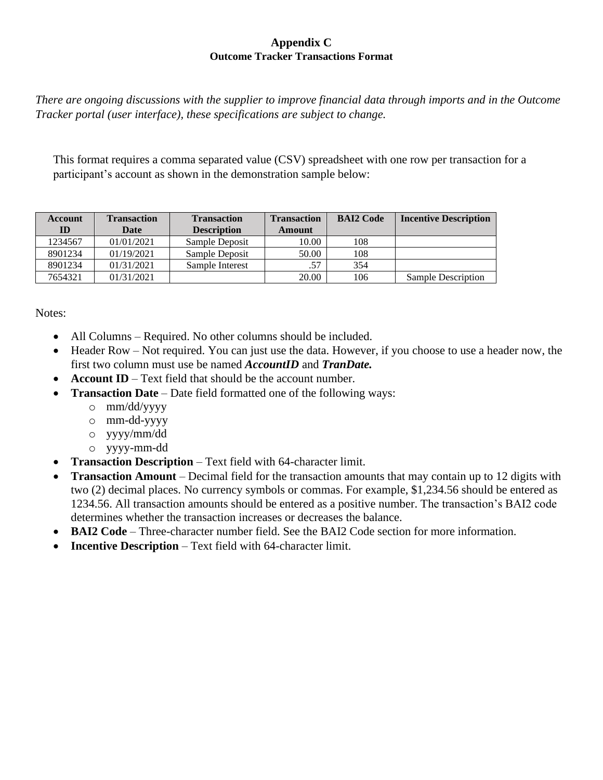## **Appendix C Outcome Tracker Transactions Format**

*There are ongoing discussions with the supplier to improve financial data through imports and in the Outcome Tracker portal (user interface), these specifications are subject to change.* 

This format requires a comma separated value (CSV) spreadsheet with one row per transaction for a participant's account as shown in the demonstration sample below:

| Account | <b>Transaction</b> | <b>Transaction</b> | <b>Transaction</b> | <b>BAI2 Code</b> | <b>Incentive Description</b> |
|---------|--------------------|--------------------|--------------------|------------------|------------------------------|
| ID      | <b>Date</b>        | <b>Description</b> | Amount             |                  |                              |
| 1234567 | 01/01/2021         | Sample Deposit     | 10.00              | 108              |                              |
| 8901234 | 01/19/2021         | Sample Deposit     | 50.00              | 108              |                              |
| 8901234 | 01/31/2021         | Sample Interest    | .57                | 354              |                              |
| 7654321 | 01/31/2021         |                    | 20.00              | 106              | <b>Sample Description</b>    |

Notes:

- All Columns Required. No other columns should be included.
- Header Row Not required. You can just use the data. However, if you choose to use a header now, the first two column must use be named *AccountID* and *TranDate.*
- **Account ID** Text field that should be the account number.
- **Transaction Date** Date field formatted one of the following ways:
	- o mm/dd/yyyy
	- o mm-dd-yyyy
	- o yyyy/mm/dd
	- o yyyy-mm-dd
- **Transaction Description** Text field with 64-character limit.
- **Transaction Amount** Decimal field for the transaction amounts that may contain up to 12 digits with two (2) decimal places. No currency symbols or commas. For example, \$1,234.56 should be entered as 1234.56. All transaction amounts should be entered as a positive number. The transaction's BAI2 code determines whether the transaction increases or decreases the balance.
- **BAI2 Code** Three-character number field. See the BAI2 Code section for more information.
- **Incentive Description** Text field with 64-character limit.